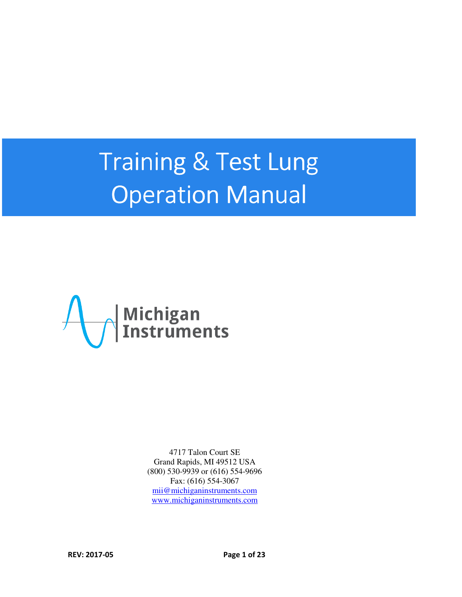# Training & Test Lung Operation Manual



4717 Talon Court SE Grand Rapids, MI 49512 USA (800) 530-9939 or (616) 554-9696 Fax: (616) 554-3067 mii@michiganinstruments.com www.michiganinstruments.com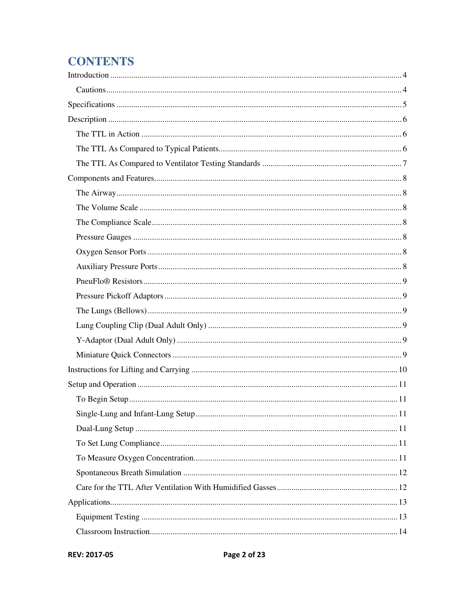# **CONTENTS**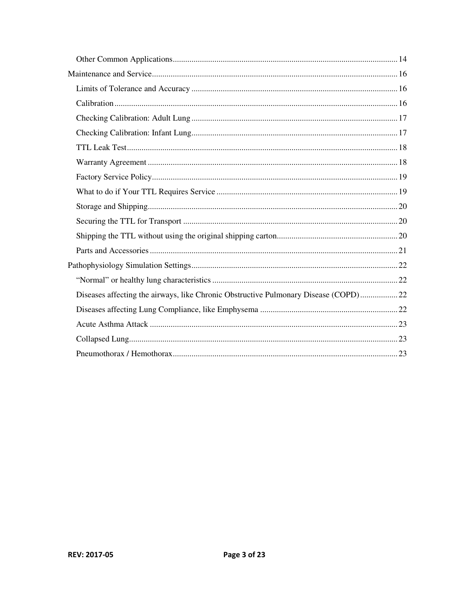| Diseases affecting the airways, like Chronic Obstructive Pulmonary Disease (COPD)22 |  |
|-------------------------------------------------------------------------------------|--|
|                                                                                     |  |
|                                                                                     |  |
|                                                                                     |  |
|                                                                                     |  |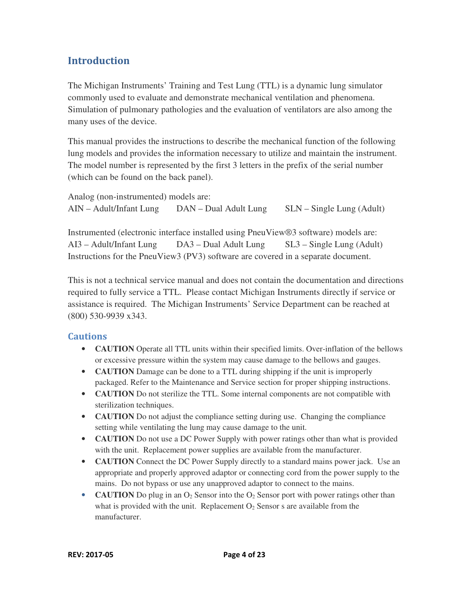#### **Introduction**

The Michigan Instruments' Training and Test Lung (TTL) is a dynamic lung simulator commonly used to evaluate and demonstrate mechanical ventilation and phenomena. Simulation of pulmonary pathologies and the evaluation of ventilators are also among the many uses of the device.

This manual provides the instructions to describe the mechanical function of the following lung models and provides the information necessary to utilize and maintain the instrument. The model number is represented by the first 3 letters in the prefix of the serial number (which can be found on the back panel).

Analog (non-instrumented) models are: AIN – Adult/Infant Lung DAN – Dual Adult Lung SLN – Single Lung (Adult)

Instrumented (electronic interface installed using PneuView®3 software) models are: AI3 – Adult/Infant Lung DA3 – Dual Adult Lung SL3 – Single Lung (Adult) Instructions for the PneuView3 (PV3) software are covered in a separate document.

This is not a technical service manual and does not contain the documentation and directions required to fully service a TTL. Please contact Michigan Instruments directly if service or assistance is required. The Michigan Instruments' Service Department can be reached at (800) 530-9939 x343.

#### **Cautions**

- **CAUTION** Operate all TTL units within their specified limits. Over-inflation of the bellows or excessive pressure within the system may cause damage to the bellows and gauges.
- **CAUTION** Damage can be done to a TTL during shipping if the unit is improperly packaged. Refer to the Maintenance and Service section for proper shipping instructions.
- **CAUTION** Do not sterilize the TTL. Some internal components are not compatible with sterilization techniques.
- **CAUTION** Do not adjust the compliance setting during use. Changing the compliance setting while ventilating the lung may cause damage to the unit.
- **CAUTION** Do not use a DC Power Supply with power ratings other than what is provided with the unit. Replacement power supplies are available from the manufacturer.
- **CAUTION** Connect the DC Power Supply directly to a standard mains power jack. Use an appropriate and properly approved adaptor or connecting cord from the power supply to the mains. Do not bypass or use any unapproved adaptor to connect to the mains.
- **CAUTION** Do plug in an  $O_2$  Sensor into the  $O_2$  Sensor port with power ratings other than what is provided with the unit. Replacement  $O<sub>2</sub>$  Sensor s are available from the manufacturer.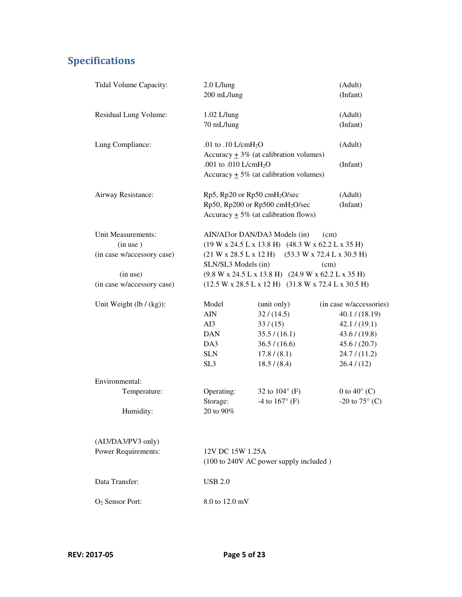# Specifications

| Tidal Volume Capacity:      | $2.0$ L/lung                                            |                                                       | (Adult)                 |  |
|-----------------------------|---------------------------------------------------------|-------------------------------------------------------|-------------------------|--|
|                             | 200 mL/lung<br>(Infant)                                 |                                                       |                         |  |
| Residual Lung Volume:       | 1.02 L/lung                                             |                                                       | (Adult)                 |  |
|                             | 70 mL/lung                                              |                                                       | (Infant)                |  |
| Lung Compliance:            | .01 to .10 $L/cmH2O$                                    |                                                       | (Adult)                 |  |
|                             | Accuracy $\pm$ 3% (at calibration volumes)              |                                                       |                         |  |
|                             | .001 to .010 L/cmH <sub>2</sub> O                       |                                                       | (Infant)                |  |
|                             |                                                         | Accuracy $\pm$ 5% (at calibration volumes)            |                         |  |
| Airway Resistance:          | $Rp5$ , $Rp20$ or $Rp50$ cmH <sub>2</sub> O/sec         |                                                       | (Adult)                 |  |
|                             |                                                         | Rp50, Rp200 or Rp500 cmH <sub>2</sub> O/sec           | (Infant)                |  |
|                             | Accuracy $\pm$ 5% (at calibration flows)                |                                                       |                         |  |
| Unit Measurements:          |                                                         | AIN/AI3or DAN/DA3 Models (in)                         | (cm)                    |  |
| (in use)                    | $(19 W x 24.5 L x 13.8 H)$ $(48.3 W x 62.2 L x 35 H)$   |                                                       |                         |  |
| (in case w/accessory case)  |                                                         | $(21 W x 28.5 L x 12 H)$ $(53.3 W x 72.4 L x 30.5 H)$ |                         |  |
|                             |                                                         | SLN/SL3 Models (in)<br>(cm)                           |                         |  |
| (in use)                    | $(9.8 W x 24.5 L x 13.8 H)$ $(24.9 W x 62.2 L x 35 H)$  |                                                       |                         |  |
| (in case w/accessory case)  | $(12.5 W x 28.5 L x 12 H)$ $(31.8 W x 72.4 L x 30.5 H)$ |                                                       |                         |  |
| Unit Weight $(lb / (kg))$ : | Model                                                   | (unit only)                                           | (in case w/accessories) |  |
|                             | $\rm AIN$                                               | 32 / (14.5)                                           | 40.1 / (18.19)          |  |
|                             | AI3                                                     | 33/(15)                                               | 42.1 / (19.1)           |  |
|                             | <b>DAN</b>                                              | 35.5 / (16.1)                                         | 43.6 / (19.8)           |  |
|                             | DA3                                                     | 36.5 / (16.6)                                         | 45.6 / (20.7)           |  |
|                             | <b>SLN</b>                                              | 17.8 / (8.1)                                          | 24.7 / (11.2)           |  |
|                             | SL <sub>3</sub>                                         | 18.5 / (8.4)                                          | 26.4 / (12)             |  |
| Environmental:              |                                                         |                                                       |                         |  |
| Temperature:                | Operating:                                              | 32 to $104^{\circ}$ (F)                               | 0 to $40^{\circ}$ (C)   |  |
|                             | Storage:                                                | -4 to $167^{\circ}$ (F)                               | -20 to $75^{\circ}$ (C) |  |
| Humidity:                   | 20 to 90%                                               |                                                       |                         |  |
| (AI3/DA3/PV3 only)          |                                                         |                                                       |                         |  |
| <b>Power Requirements:</b>  | 12V DC 15W 1.25A                                        |                                                       |                         |  |
|                             |                                                         | (100 to 240V AC power supply included)                |                         |  |
| Data Transfer:              | <b>USB 2.0</b>                                          |                                                       |                         |  |
| O <sub>2</sub> Sensor Port: | 8.0 to 12.0 mV                                          |                                                       |                         |  |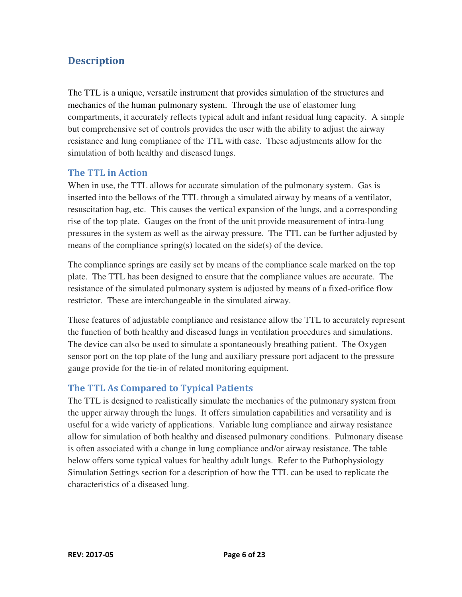### **Description**

The TTL is a unique, versatile instrument that provides simulation of the structures and mechanics of the human pulmonary system. Through the use of elastomer lung compartments, it accurately reflects typical adult and infant residual lung capacity. A simple but comprehensive set of controls provides the user with the ability to adjust the airway resistance and lung compliance of the TTL with ease. These adjustments allow for the simulation of both healthy and diseased lungs.

#### The TTL in Action

When in use, the TTL allows for accurate simulation of the pulmonary system. Gas is inserted into the bellows of the TTL through a simulated airway by means of a ventilator, resuscitation bag, etc. This causes the vertical expansion of the lungs, and a corresponding rise of the top plate. Gauges on the front of the unit provide measurement of intra-lung pressures in the system as well as the airway pressure. The TTL can be further adjusted by means of the compliance spring(s) located on the side(s) of the device.

The compliance springs are easily set by means of the compliance scale marked on the top plate. The TTL has been designed to ensure that the compliance values are accurate. The resistance of the simulated pulmonary system is adjusted by means of a fixed-orifice flow restrictor. These are interchangeable in the simulated airway.

These features of adjustable compliance and resistance allow the TTL to accurately represent the function of both healthy and diseased lungs in ventilation procedures and simulations. The device can also be used to simulate a spontaneously breathing patient. The Oxygen sensor port on the top plate of the lung and auxiliary pressure port adjacent to the pressure gauge provide for the tie-in of related monitoring equipment.

#### The TTL As Compared to Typical Patients

The TTL is designed to realistically simulate the mechanics of the pulmonary system from the upper airway through the lungs. It offers simulation capabilities and versatility and is useful for a wide variety of applications. Variable lung compliance and airway resistance allow for simulation of both healthy and diseased pulmonary conditions. Pulmonary disease is often associated with a change in lung compliance and/or airway resistance. The table below offers some typical values for healthy adult lungs. Refer to the Pathophysiology Simulation Settings section for a description of how the TTL can be used to replicate the characteristics of a diseased lung.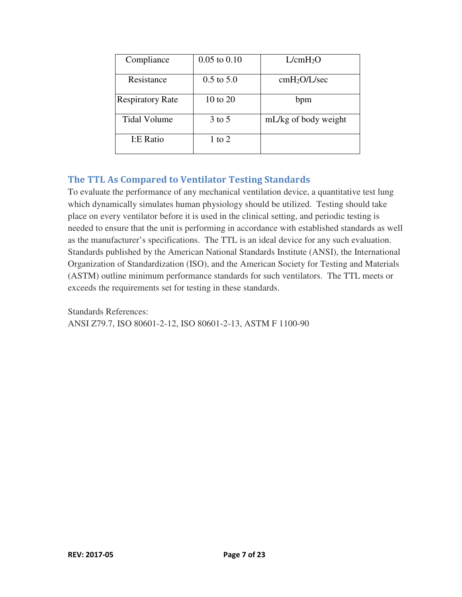| Compliance              | $0.05$ to $0.10$      | L/cmH <sub>2</sub> O     |
|-------------------------|-----------------------|--------------------------|
| Resistance              | $0.5 \text{ to } 5.0$ | cmH <sub>2</sub> O/L/sec |
| <b>Respiratory Rate</b> | 10 to 20              | bpm                      |
| <b>Tidal Volume</b>     | $3$ to 5              | mL/kg of body weight     |
| I:E Ratio               | 1 to 2                |                          |

#### The TTL As Compared to Ventilator Testing Standards

To evaluate the performance of any mechanical ventilation device, a quantitative test lung which dynamically simulates human physiology should be utilized. Testing should take place on every ventilator before it is used in the clinical setting, and periodic testing is needed to ensure that the unit is performing in accordance with established standards as well as the manufacturer's specifications. The TTL is an ideal device for any such evaluation. Standards published by the American National Standards Institute (ANSI), the International Organization of Standardization (ISO), and the American Society for Testing and Materials (ASTM) outline minimum performance standards for such ventilators. The TTL meets or exceeds the requirements set for testing in these standards.

Standards References: ANSI Z79.7, ISO 80601-2-12, ISO 80601-2-13, ASTM F 1100-90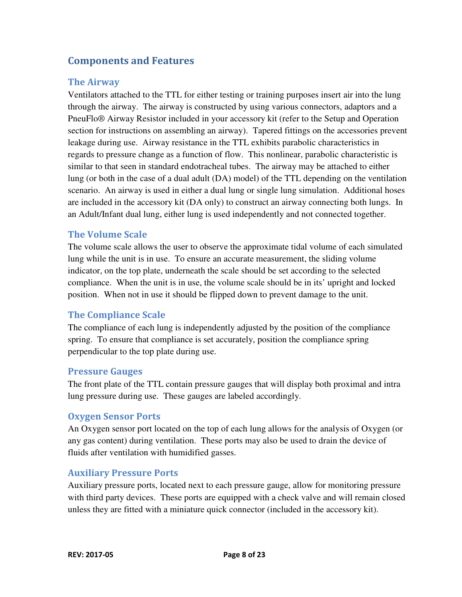#### Components and Features

#### The Airway

Ventilators attached to the TTL for either testing or training purposes insert air into the lung through the airway. The airway is constructed by using various connectors, adaptors and a PneuFlo® Airway Resistor included in your accessory kit (refer to the Setup and Operation section for instructions on assembling an airway). Tapered fittings on the accessories prevent leakage during use. Airway resistance in the TTL exhibits parabolic characteristics in regards to pressure change as a function of flow. This nonlinear, parabolic characteristic is similar to that seen in standard endotracheal tubes. The airway may be attached to either lung (or both in the case of a dual adult (DA) model) of the TTL depending on the ventilation scenario. An airway is used in either a dual lung or single lung simulation. Additional hoses are included in the accessory kit (DA only) to construct an airway connecting both lungs. In an Adult/Infant dual lung, either lung is used independently and not connected together.

#### The Volume Scale

The volume scale allows the user to observe the approximate tidal volume of each simulated lung while the unit is in use. To ensure an accurate measurement, the sliding volume indicator, on the top plate, underneath the scale should be set according to the selected compliance. When the unit is in use, the volume scale should be in its' upright and locked position. When not in use it should be flipped down to prevent damage to the unit.

#### The Compliance Scale

The compliance of each lung is independently adjusted by the position of the compliance spring. To ensure that compliance is set accurately, position the compliance spring perpendicular to the top plate during use.

#### Pressure Gauges

The front plate of the TTL contain pressure gauges that will display both proximal and intra lung pressure during use. These gauges are labeled accordingly.

#### Oxygen Sensor Ports

An Oxygen sensor port located on the top of each lung allows for the analysis of Oxygen (or any gas content) during ventilation. These ports may also be used to drain the device of fluids after ventilation with humidified gasses.

#### Auxiliary Pressure Ports

Auxiliary pressure ports, located next to each pressure gauge, allow for monitoring pressure with third party devices. These ports are equipped with a check valve and will remain closed unless they are fitted with a miniature quick connector (included in the accessory kit).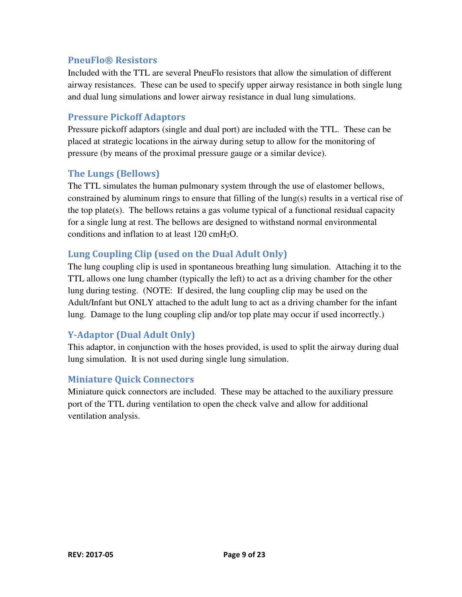#### PneuFlo® Resistors

Included with the TTL are several PneuFlo resistors that allow the simulation of different airway resistances. These can be used to specify upper airway resistance in both single lung and dual lung simulations and lower airway resistance in dual lung simulations.

#### Pressure Pickoff Adaptors

Pressure pickoff adaptors (single and dual port) are included with the TTL. These can be placed at strategic locations in the airway during setup to allow for the monitoring of pressure (by means of the proximal pressure gauge or a similar device).

#### The Lungs (Bellows)

The TTL simulates the human pulmonary system through the use of elastomer bellows, constrained by aluminum rings to ensure that filling of the lung(s) results in a vertical rise of the top plate(s). The bellows retains a gas volume typical of a functional residual capacity for a single lung at rest. The bellows are designed to withstand normal environmental conditions and inflation to at least  $120 \text{ cm}$ H<sub>2</sub>O.

#### Lung Coupling Clip (used on the Dual Adult Only)

The lung coupling clip is used in spontaneous breathing lung simulation. Attaching it to the TTL allows one lung chamber (typically the left) to act as a driving chamber for the other lung during testing. (NOTE: If desired, the lung coupling clip may be used on the Adult/Infant but ONLY attached to the adult lung to act as a driving chamber for the infant lung. Damage to the lung coupling clip and/or top plate may occur if used incorrectly.)

#### Y-Adaptor (Dual Adult Only)

This adaptor, in conjunction with the hoses provided, is used to split the airway during dual lung simulation. It is not used during single lung simulation.

#### Miniature Quick Connectors

Miniature quick connectors are included. These may be attached to the auxiliary pressure port of the TTL during ventilation to open the check valve and allow for additional ventilation analysis.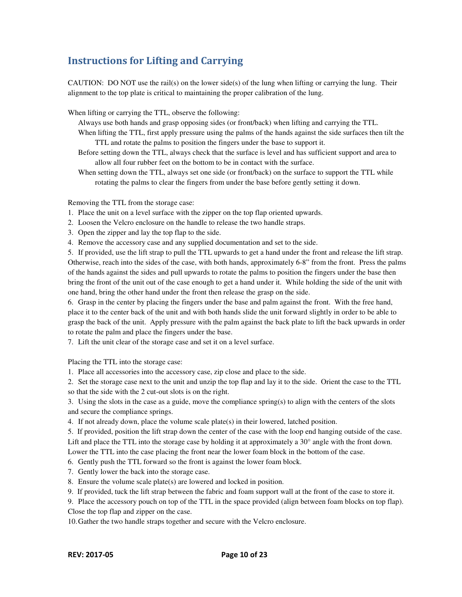#### Instructions for Lifting and Carrying

CAUTION: DO NOT use the rail(s) on the lower side(s) of the lung when lifting or carrying the lung. Their alignment to the top plate is critical to maintaining the proper calibration of the lung.

When lifting or carrying the TTL, observe the following:

Always use both hands and grasp opposing sides (or front/back) when lifting and carrying the TTL.

- When lifting the TTL, first apply pressure using the palms of the hands against the side surfaces then tilt the TTL and rotate the palms to position the fingers under the base to support it.
- Before setting down the TTL, always check that the surface is level and has sufficient support and area to allow all four rubber feet on the bottom to be in contact with the surface.

When setting down the TTL, always set one side (or front/back) on the surface to support the TTL while rotating the palms to clear the fingers from under the base before gently setting it down.

Removing the TTL from the storage case:

- 1. Place the unit on a level surface with the zipper on the top flap oriented upwards.
- 2. Loosen the Velcro enclosure on the handle to release the two handle straps.
- 3. Open the zipper and lay the top flap to the side.
- 4. Remove the accessory case and any supplied documentation and set to the side.

5. If provided, use the lift strap to pull the TTL upwards to get a hand under the front and release the lift strap. Otherwise, reach into the sides of the case, with both hands, approximately 6-8" from the front. Press the palms of the hands against the sides and pull upwards to rotate the palms to position the fingers under the base then bring the front of the unit out of the case enough to get a hand under it. While holding the side of the unit with one hand, bring the other hand under the front then release the grasp on the side.

6. Grasp in the center by placing the fingers under the base and palm against the front. With the free hand, place it to the center back of the unit and with both hands slide the unit forward slightly in order to be able to grasp the back of the unit. Apply pressure with the palm against the back plate to lift the back upwards in order to rotate the palm and place the fingers under the base.

7. Lift the unit clear of the storage case and set it on a level surface.

Placing the TTL into the storage case:

1. Place all accessories into the accessory case, zip close and place to the side.

2. Set the storage case next to the unit and unzip the top flap and lay it to the side. Orient the case to the TTL so that the side with the 2 cut-out slots is on the right.

3. Using the slots in the case as a guide, move the compliance spring(s) to align with the centers of the slots and secure the compliance springs.

4. If not already down, place the volume scale plate(s) in their lowered, latched position.

5. If provided, position the lift strap down the center of the case with the loop end hanging outside of the case. Lift and place the TTL into the storage case by holding it at approximately a 30° angle with the front down. Lower the TTL into the case placing the front near the lower foam block in the bottom of the case.

- 6. Gently push the TTL forward so the front is against the lower foam block.
- 7. Gently lower the back into the storage case.
- 8. Ensure the volume scale plate(s) are lowered and locked in position.
- 9. If provided, tuck the lift strap between the fabric and foam support wall at the front of the case to store it.

9. Place the accessory pouch on top of the TTL in the space provided (align between foam blocks on top flap). Close the top flap and zipper on the case.

10. Gather the two handle straps together and secure with the Velcro enclosure.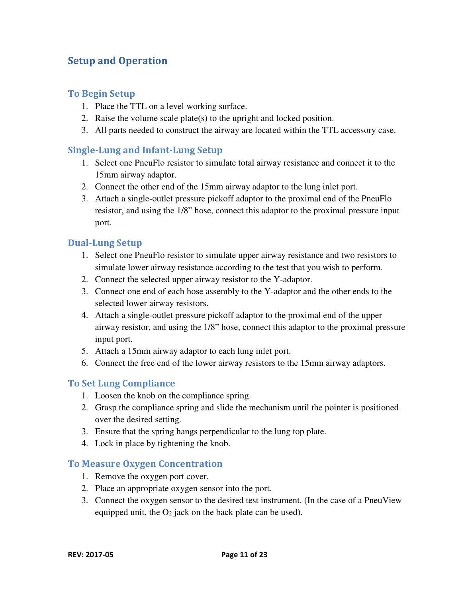#### Setup and Operation

#### To Begin Setup

- 1. Place the TTL on a level working surface.
- 2. Raise the volume scale plate(s) to the upright and locked position.
- 3. All parts needed to construct the airway are located within the TTL accessory case.

#### Single-Lung and Infant-Lung Setup

- 1. Select one PneuFlo resistor to simulate total airway resistance and connect it to the 15mm airway adaptor.
- 2. Connect the other end of the 15mm airway adaptor to the lung inlet port.
- 3. Attach a single-outlet pressure pickoff adaptor to the proximal end of the PneuFlo resistor, and using the 1/8" hose, connect this adaptor to the proximal pressure input port.

#### Dual-Lung Setup

- 1. Select one PneuFlo resistor to simulate upper airway resistance and two resistors to simulate lower airway resistance according to the test that you wish to perform.
- 2. Connect the selected upper airway resistor to the Y-adaptor.
- 3. Connect one end of each hose assembly to the Y-adaptor and the other ends to the selected lower airway resistors.
- 4. Attach a single-outlet pressure pickoff adaptor to the proximal end of the upper airway resistor, and using the 1/8" hose, connect this adaptor to the proximal pressure input port.
- 5. Attach a 15mm airway adaptor to each lung inlet port.
- 6. Connect the free end of the lower airway resistors to the 15mm airway adaptors.

#### To Set Lung Compliance

- 1. Loosen the knob on the compliance spring.
- 2. Grasp the compliance spring and slide the mechanism until the pointer is positioned over the desired setting.
- 3. Ensure that the spring hangs perpendicular to the lung top plate.
- 4. Lock in place by tightening the knob.

#### To Measure Oxygen Concentration

- 1. Remove the oxygen port cover.
- 2. Place an appropriate oxygen sensor into the port.
- 3. Connect the oxygen sensor to the desired test instrument. (In the case of a PneuView equipped unit, the  $O_2$  jack on the back plate can be used).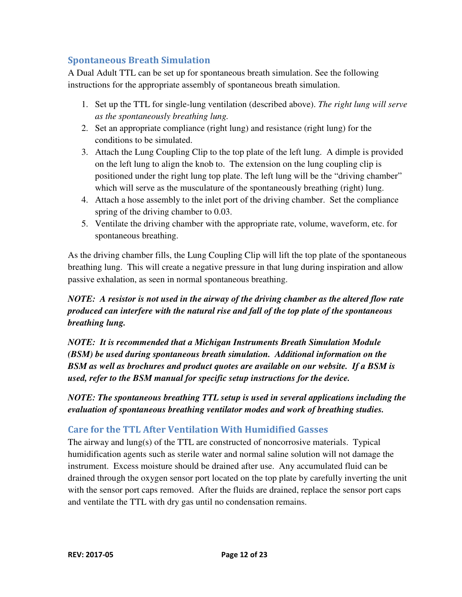#### Spontaneous Breath Simulation

A Dual Adult TTL can be set up for spontaneous breath simulation. See the following instructions for the appropriate assembly of spontaneous breath simulation.

- 1. Set up the TTL for single-lung ventilation (described above). *The right lung will serve as the spontaneously breathing lung.*
- 2. Set an appropriate compliance (right lung) and resistance (right lung) for the conditions to be simulated.
- 3. Attach the Lung Coupling Clip to the top plate of the left lung. A dimple is provided on the left lung to align the knob to. The extension on the lung coupling clip is positioned under the right lung top plate. The left lung will be the "driving chamber" which will serve as the musculature of the spontaneously breathing (right) lung.
- 4. Attach a hose assembly to the inlet port of the driving chamber. Set the compliance spring of the driving chamber to 0.03.
- 5. Ventilate the driving chamber with the appropriate rate, volume, waveform, etc. for spontaneous breathing.

As the driving chamber fills, the Lung Coupling Clip will lift the top plate of the spontaneous breathing lung. This will create a negative pressure in that lung during inspiration and allow passive exhalation, as seen in normal spontaneous breathing.

#### *NOTE: A resistor is not used in the airway of the driving chamber as the altered flow rate produced can interfere with the natural rise and fall of the top plate of the spontaneous breathing lung.*

*NOTE: It is recommended that a Michigan Instruments Breath Simulation Module (BSM) be used during spontaneous breath simulation. Additional information on the BSM as well as brochures and product quotes are available on our website. If a BSM is used, refer to the BSM manual for specific setup instructions for the device.* 

*NOTE: The spontaneous breathing TTL setup is used in several applications including the evaluation of spontaneous breathing ventilator modes and work of breathing studies.* 

#### Care for the TTL After Ventilation With Humidified Gasses

The airway and lung(s) of the TTL are constructed of noncorrosive materials. Typical humidification agents such as sterile water and normal saline solution will not damage the instrument. Excess moisture should be drained after use. Any accumulated fluid can be drained through the oxygen sensor port located on the top plate by carefully inverting the unit with the sensor port caps removed. After the fluids are drained, replace the sensor port caps and ventilate the TTL with dry gas until no condensation remains.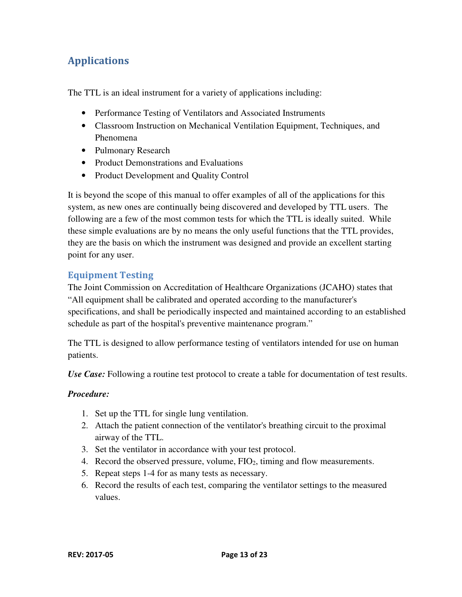## Applications

The TTL is an ideal instrument for a variety of applications including:

- Performance Testing of Ventilators and Associated Instruments
- Classroom Instruction on Mechanical Ventilation Equipment, Techniques, and Phenomena
- Pulmonary Research
- Product Demonstrations and Evaluations
- Product Development and Quality Control

It is beyond the scope of this manual to offer examples of all of the applications for this system, as new ones are continually being discovered and developed by TTL users. The following are a few of the most common tests for which the TTL is ideally suited. While these simple evaluations are by no means the only useful functions that the TTL provides, they are the basis on which the instrument was designed and provide an excellent starting point for any user.

#### Equipment Testing

The Joint Commission on Accreditation of Healthcare Organizations (JCAHO) states that "All equipment shall be calibrated and operated according to the manufacturer's specifications, and shall be periodically inspected and maintained according to an established schedule as part of the hospital's preventive maintenance program."

The TTL is designed to allow performance testing of ventilators intended for use on human patients.

*Use Case:* Following a routine test protocol to create a table for documentation of test results.

#### *Procedure:*

- 1. Set up the TTL for single lung ventilation.
- 2. Attach the patient connection of the ventilator's breathing circuit to the proximal airway of the TTL.
- 3. Set the ventilator in accordance with your test protocol.
- 4. Record the observed pressure, volume, FIO2, timing and flow measurements.
- 5. Repeat steps 1-4 for as many tests as necessary.
- 6. Record the results of each test, comparing the ventilator settings to the measured values.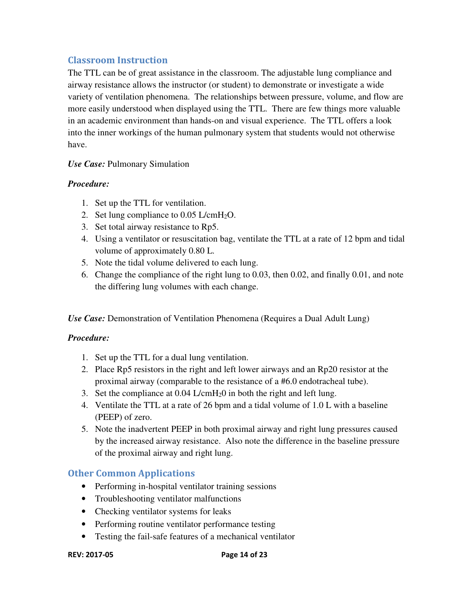#### Classroom Instruction

The TTL can be of great assistance in the classroom. The adjustable lung compliance and airway resistance allows the instructor (or student) to demonstrate or investigate a wide variety of ventilation phenomena. The relationships between pressure, volume, and flow are more easily understood when displayed using the TTL. There are few things more valuable in an academic environment than hands-on and visual experience. The TTL offers a look into the inner workings of the human pulmonary system that students would not otherwise have.

#### *Use Case:* Pulmonary Simulation

#### *Procedure:*

- 1. Set up the TTL for ventilation.
- 2. Set lung compliance to  $0.05$  L/cmH<sub>2</sub>O.
- 3. Set total airway resistance to Rp5.
- 4. Using a ventilator or resuscitation bag, ventilate the TTL at a rate of 12 bpm and tidal volume of approximately 0.80 L.
- 5. Note the tidal volume delivered to each lung.
- 6. Change the compliance of the right lung to 0.03, then 0.02, and finally 0.01, and note the differing lung volumes with each change.

*Use Case:* Demonstration of Ventilation Phenomena (Requires a Dual Adult Lung)

#### *Procedure:*

- 1. Set up the TTL for a dual lung ventilation.
- 2. Place Rp5 resistors in the right and left lower airways and an Rp20 resistor at the proximal airway (comparable to the resistance of a #6.0 endotracheal tube).
- 3. Set the compliance at  $0.04$  L/cmH<sub>2</sub>0 in both the right and left lung.
- 4. Ventilate the TTL at a rate of 26 bpm and a tidal volume of 1.0 L with a baseline (PEEP) of zero.
- 5. Note the inadvertent PEEP in both proximal airway and right lung pressures caused by the increased airway resistance. Also note the difference in the baseline pressure of the proximal airway and right lung.

#### Other Common Applications

- Performing in-hospital ventilator training sessions
- Troubleshooting ventilator malfunctions
- Checking ventilator systems for leaks
- Performing routine ventilator performance testing
- Testing the fail-safe features of a mechanical ventilator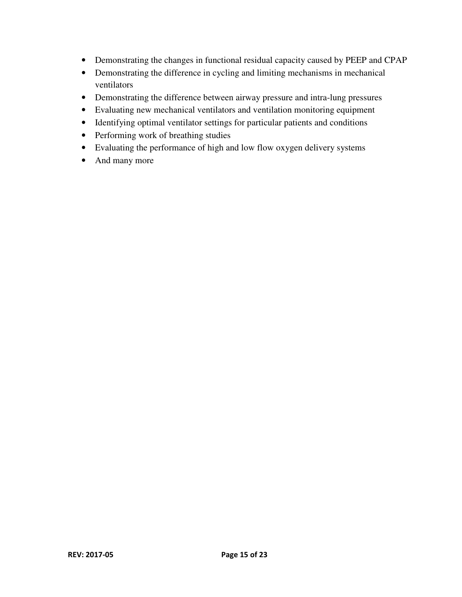- Demonstrating the changes in functional residual capacity caused by PEEP and CPAP
- Demonstrating the difference in cycling and limiting mechanisms in mechanical ventilators
- Demonstrating the difference between airway pressure and intra-lung pressures
- Evaluating new mechanical ventilators and ventilation monitoring equipment
- Identifying optimal ventilator settings for particular patients and conditions
- Performing work of breathing studies
- Evaluating the performance of high and low flow oxygen delivery systems
- And many more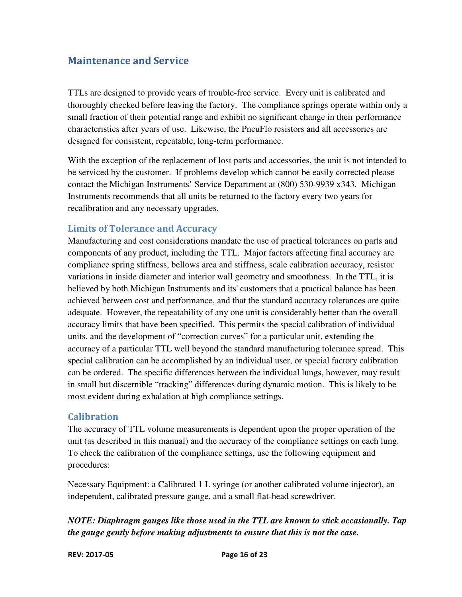#### Maintenance and Service

TTLs are designed to provide years of trouble-free service. Every unit is calibrated and thoroughly checked before leaving the factory. The compliance springs operate within only a small fraction of their potential range and exhibit no significant change in their performance characteristics after years of use. Likewise, the PneuFlo resistors and all accessories are designed for consistent, repeatable, long-term performance.

With the exception of the replacement of lost parts and accessories, the unit is not intended to be serviced by the customer. If problems develop which cannot be easily corrected please contact the Michigan Instruments' Service Department at (800) 530-9939 x343. Michigan Instruments recommends that all units be returned to the factory every two years for recalibration and any necessary upgrades.

#### Limits of Tolerance and Accuracy

Manufacturing and cost considerations mandate the use of practical tolerances on parts and components of any product, including the TTL. Major factors affecting final accuracy are compliance spring stiffness, bellows area and stiffness, scale calibration accuracy, resistor variations in inside diameter and interior wall geometry and smoothness. In the TTL, it is believed by both Michigan Instruments and its' customers that a practical balance has been achieved between cost and performance, and that the standard accuracy tolerances are quite adequate. However, the repeatability of any one unit is considerably better than the overall accuracy limits that have been specified. This permits the special calibration of individual units, and the development of "correction curves" for a particular unit, extending the accuracy of a particular TTL well beyond the standard manufacturing tolerance spread. This special calibration can be accomplished by an individual user, or special factory calibration can be ordered. The specific differences between the individual lungs, however, may result in small but discernible "tracking" differences during dynamic motion. This is likely to be most evident during exhalation at high compliance settings.

#### **Calibration**

The accuracy of TTL volume measurements is dependent upon the proper operation of the unit (as described in this manual) and the accuracy of the compliance settings on each lung. To check the calibration of the compliance settings, use the following equipment and procedures:

Necessary Equipment: a Calibrated 1 L syringe (or another calibrated volume injector), an independent, calibrated pressure gauge, and a small flat-head screwdriver.

*NOTE: Diaphragm gauges like those used in the TTL are known to stick occasionally. Tap the gauge gently before making adjustments to ensure that this is not the case.*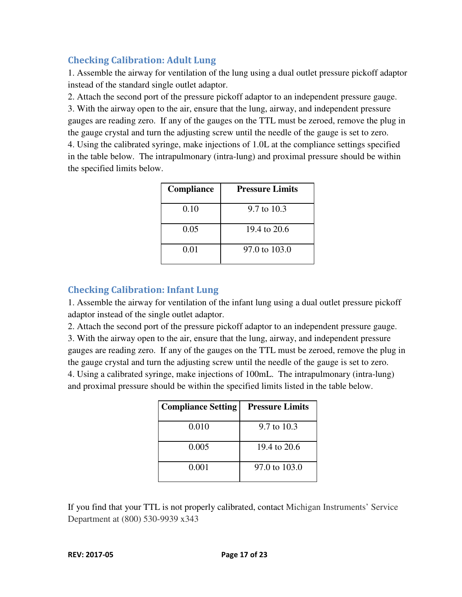#### Checking Calibration: Adult Lung

1. Assemble the airway for ventilation of the lung using a dual outlet pressure pickoff adaptor instead of the standard single outlet adaptor.

2. Attach the second port of the pressure pickoff adaptor to an independent pressure gauge. 3. With the airway open to the air, ensure that the lung, airway, and independent pressure gauges are reading zero. If any of the gauges on the TTL must be zeroed, remove the plug in the gauge crystal and turn the adjusting screw until the needle of the gauge is set to zero. 4. Using the calibrated syringe, make injections of 1.0L at the compliance settings specified in the table below. The intrapulmonary (intra-lung) and proximal pressure should be within the specified limits below.

| Compliance | <b>Pressure Limits</b> |
|------------|------------------------|
| 0.10       | 9.7 to 10.3            |
| 0.05       | 19.4 to 20.6           |
| 0.01       | 97.0 to 103.0          |

#### Checking Calibration: Infant Lung

1. Assemble the airway for ventilation of the infant lung using a dual outlet pressure pickoff adaptor instead of the single outlet adaptor.

2. Attach the second port of the pressure pickoff adaptor to an independent pressure gauge.

3. With the airway open to the air, ensure that the lung, airway, and independent pressure gauges are reading zero. If any of the gauges on the TTL must be zeroed, remove the plug in the gauge crystal and turn the adjusting screw until the needle of the gauge is set to zero. 4. Using a calibrated syringe, make injections of 100mL. The intrapulmonary (intra-lung) and proximal pressure should be within the specified limits listed in the table below.

| <b>Compliance Setting</b> | <b>Pressure Limits</b> |
|---------------------------|------------------------|
| 0.010                     | 9.7 to 10.3            |
| 0.005                     | 19.4 to 20.6           |
| 0.001                     | 97.0 to 103.0          |

If you find that your TTL is not properly calibrated, contact Michigan Instruments' Service Department at (800) 530-9939 x343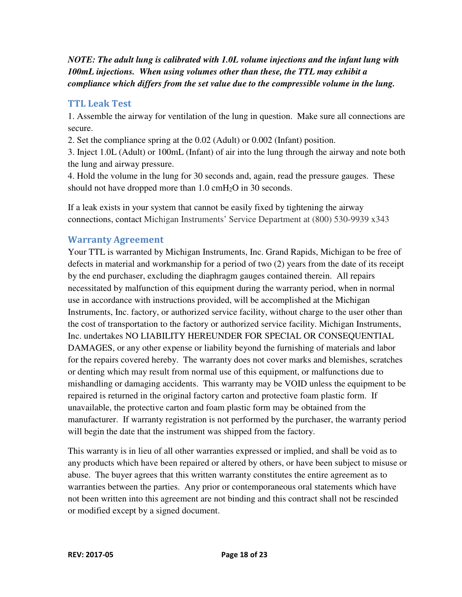*NOTE: The adult lung is calibrated with 1.0L volume injections and the infant lung with 100mL injections. When using volumes other than these, the TTL may exhibit a compliance which differs from the set value due to the compressible volume in the lung.* 

#### TTL Leak Test

1. Assemble the airway for ventilation of the lung in question. Make sure all connections are secure.

2. Set the compliance spring at the 0.02 (Adult) or 0.002 (Infant) position.

3. Inject 1.0L (Adult) or 100mL (Infant) of air into the lung through the airway and note both the lung and airway pressure.

4. Hold the volume in the lung for 30 seconds and, again, read the pressure gauges. These should not have dropped more than 1.0 cmH<sub>2</sub>O in 30 seconds.

If a leak exists in your system that cannot be easily fixed by tightening the airway connections, contact Michigan Instruments' Service Department at (800) 530-9939 x343

#### Warranty Agreement

Your TTL is warranted by Michigan Instruments, Inc. Grand Rapids, Michigan to be free of defects in material and workmanship for a period of two (2) years from the date of its receipt by the end purchaser, excluding the diaphragm gauges contained therein. All repairs necessitated by malfunction of this equipment during the warranty period, when in normal use in accordance with instructions provided, will be accomplished at the Michigan Instruments, Inc. factory, or authorized service facility, without charge to the user other than the cost of transportation to the factory or authorized service facility. Michigan Instruments, Inc. undertakes NO LIABILITY HEREUNDER FOR SPECIAL OR CONSEQUENTIAL DAMAGES, or any other expense or liability beyond the furnishing of materials and labor for the repairs covered hereby. The warranty does not cover marks and blemishes, scratches or denting which may result from normal use of this equipment, or malfunctions due to mishandling or damaging accidents. This warranty may be VOID unless the equipment to be repaired is returned in the original factory carton and protective foam plastic form. If unavailable, the protective carton and foam plastic form may be obtained from the manufacturer. If warranty registration is not performed by the purchaser, the warranty period will begin the date that the instrument was shipped from the factory.

This warranty is in lieu of all other warranties expressed or implied, and shall be void as to any products which have been repaired or altered by others, or have been subject to misuse or abuse. The buyer agrees that this written warranty constitutes the entire agreement as to warranties between the parties. Any prior or contemporaneous oral statements which have not been written into this agreement are not binding and this contract shall not be rescinded or modified except by a signed document.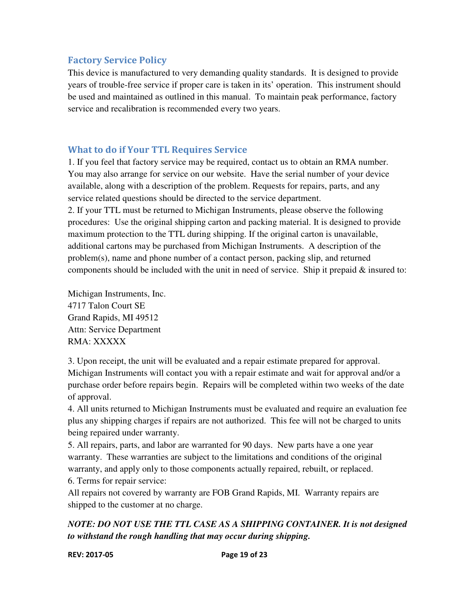#### Factory Service Policy

This device is manufactured to very demanding quality standards. It is designed to provide years of trouble-free service if proper care is taken in its' operation. This instrument should be used and maintained as outlined in this manual. To maintain peak performance, factory service and recalibration is recommended every two years.

#### What to do if Your TTL Requires Service

1. If you feel that factory service may be required, contact us to obtain an RMA number. You may also arrange for service on our website. Have the serial number of your device available, along with a description of the problem. Requests for repairs, parts, and any service related questions should be directed to the service department. 2. If your TTL must be returned to Michigan Instruments, please observe the following

procedures: Use the original shipping carton and packing material. It is designed to provide maximum protection to the TTL during shipping. If the original carton is unavailable, additional cartons may be purchased from Michigan Instruments. A description of the problem(s), name and phone number of a contact person, packing slip, and returned components should be included with the unit in need of service. Ship it prepaid & insured to:

Michigan Instruments, Inc. 4717 Talon Court SE Grand Rapids, MI 49512 Attn: Service Department RMA: XXXXX

3. Upon receipt, the unit will be evaluated and a repair estimate prepared for approval. Michigan Instruments will contact you with a repair estimate and wait for approval and/or a purchase order before repairs begin. Repairs will be completed within two weeks of the date of approval.

4. All units returned to Michigan Instruments must be evaluated and require an evaluation fee plus any shipping charges if repairs are not authorized. This fee will not be charged to units being repaired under warranty.

5. All repairs, parts, and labor are warranted for 90 days. New parts have a one year warranty. These warranties are subject to the limitations and conditions of the original warranty, and apply only to those components actually repaired, rebuilt, or replaced. 6. Terms for repair service:

All repairs not covered by warranty are FOB Grand Rapids, MI. Warranty repairs are shipped to the customer at no charge.

#### *NOTE: DO NOT USE THE TTL CASE AS A SHIPPING CONTAINER. It is not designed to withstand the rough handling that may occur during shipping.*

#### REV: 2017-05 Page 19 of 23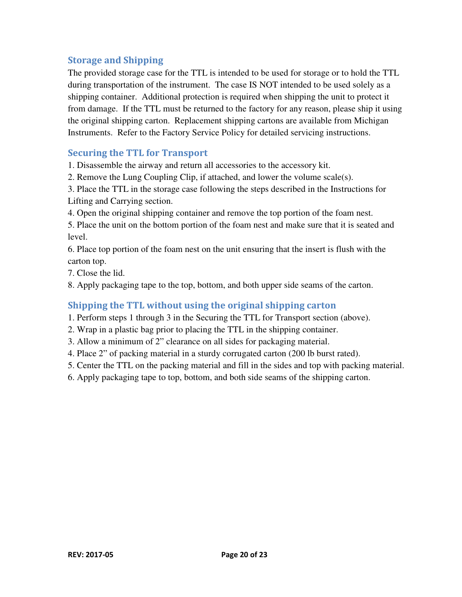#### Storage and Shipping

The provided storage case for the TTL is intended to be used for storage or to hold the TTL during transportation of the instrument. The case IS NOT intended to be used solely as a shipping container. Additional protection is required when shipping the unit to protect it from damage. If the TTL must be returned to the factory for any reason, please ship it using the original shipping carton. Replacement shipping cartons are available from Michigan Instruments. Refer to the Factory Service Policy for detailed servicing instructions.

#### Securing the TTL for Transport

1. Disassemble the airway and return all accessories to the accessory kit.

2. Remove the Lung Coupling Clip, if attached, and lower the volume scale(s).

3. Place the TTL in the storage case following the steps described in the Instructions for Lifting and Carrying section.

4. Open the original shipping container and remove the top portion of the foam nest.

5. Place the unit on the bottom portion of the foam nest and make sure that it is seated and level.

6. Place top portion of the foam nest on the unit ensuring that the insert is flush with the carton top.

7. Close the lid.

8. Apply packaging tape to the top, bottom, and both upper side seams of the carton.

#### Shipping the TTL without using the original shipping carton

1. Perform steps 1 through 3 in the Securing the TTL for Transport section (above).

- 2. Wrap in a plastic bag prior to placing the TTL in the shipping container.
- 3. Allow a minimum of 2" clearance on all sides for packaging material.
- 4. Place 2" of packing material in a sturdy corrugated carton (200 lb burst rated).
- 5. Center the TTL on the packing material and fill in the sides and top with packing material.
- 6. Apply packaging tape to top, bottom, and both side seams of the shipping carton.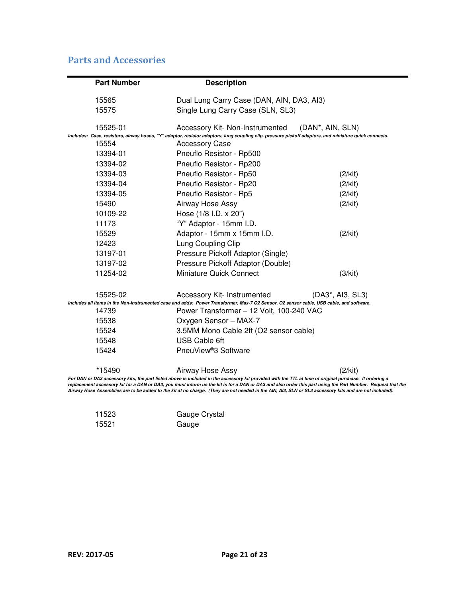#### Parts and Accessories

| <b>Part Number</b> | <b>Description</b>                                                                                                                                                                                                                                                                                                   |                  |
|--------------------|----------------------------------------------------------------------------------------------------------------------------------------------------------------------------------------------------------------------------------------------------------------------------------------------------------------------|------------------|
| 15565              | Dual Lung Carry Case (DAN, AIN, DA3, AI3)                                                                                                                                                                                                                                                                            |                  |
| 15575              | Single Lung Carry Case (SLN, SL3)                                                                                                                                                                                                                                                                                    |                  |
| 15525-01           | Accessory Kit- Non-Instrumented (DAN*, AIN, SLN)                                                                                                                                                                                                                                                                     |                  |
|                    | Includes: Case, resistors, airway hoses, "Y" adaptor, resistor adaptors, lung coupling clip, pressure pickoff adaptors, and miniature quick connects.                                                                                                                                                                |                  |
| 15554              | <b>Accessory Case</b>                                                                                                                                                                                                                                                                                                |                  |
| 13394-01           | Pneuflo Resistor - Rp500                                                                                                                                                                                                                                                                                             |                  |
| 13394-02           | Pneuflo Resistor - Rp200                                                                                                                                                                                                                                                                                             |                  |
| 13394-03           | Pneuflo Resistor - Rp50                                                                                                                                                                                                                                                                                              | (2/kit)          |
| 13394-04           | Pneuflo Resistor - Rp20                                                                                                                                                                                                                                                                                              | (2/kit)          |
| 13394-05           | Pneuflo Resistor - Rp5                                                                                                                                                                                                                                                                                               | (2/kit)          |
| 15490              | Airway Hose Assy                                                                                                                                                                                                                                                                                                     | (2/kit)          |
| 10109-22           | Hose (1/8 I.D. x 20")                                                                                                                                                                                                                                                                                                |                  |
| 11173              | "Y" Adaptor - 15mm I.D.                                                                                                                                                                                                                                                                                              |                  |
| 15529              | Adaptor - 15mm x 15mm I.D.                                                                                                                                                                                                                                                                                           | (2/kit)          |
| 12423              | Lung Coupling Clip                                                                                                                                                                                                                                                                                                   |                  |
| 13197-01           | Pressure Pickoff Adaptor (Single)                                                                                                                                                                                                                                                                                    |                  |
| 13197-02           | Pressure Pickoff Adaptor (Double)                                                                                                                                                                                                                                                                                    |                  |
| 11254-02           | <b>Miniature Quick Connect</b>                                                                                                                                                                                                                                                                                       | (3/kit)          |
| 15525-02           | Accessory Kit- Instrumented                                                                                                                                                                                                                                                                                          | (DA3*, AI3, SL3) |
|                    | Includes all items in the Non-Instrumented case and adds: Power Transformer, Max-7 O2 Sensor, O2 sensor cable, USB cable, and software.                                                                                                                                                                              |                  |
| 14739              | Power Transformer - 12 Volt, 100-240 VAC                                                                                                                                                                                                                                                                             |                  |
| 15538              | Oxygen Sensor - MAX-7                                                                                                                                                                                                                                                                                                |                  |
| 15524              | 3.5MM Mono Cable 2ft (O2 sensor cable)                                                                                                                                                                                                                                                                               |                  |
| 15548              | <b>USB Cable 6ft</b>                                                                                                                                                                                                                                                                                                 |                  |
| 15424              | PneuView <sup>®</sup> 3 Software                                                                                                                                                                                                                                                                                     |                  |
| *15490             | Airway Hose Assy                                                                                                                                                                                                                                                                                                     | (2/kit)          |
|                    | For DAN or DA3 accessory kits, the part listed above is included in the accessory kit provided with the TTL at time of original purchase. If ordering a<br>replacement accessory kit for a DAN or DA3, you must inform us the kit is for a DAN or DA3 and also order this part using the Part Number. Request that t |                  |

replacement accessory kit for a DAN or DA3, you must inform us the kit is for a DAN or DA3 and also order this part using the Part Number. Request that the<br>Airway Hose Assemblies are to be added to the kit at no charge. (

| 11523 | Gauge Crystal |
|-------|---------------|
| 15521 | Gauge         |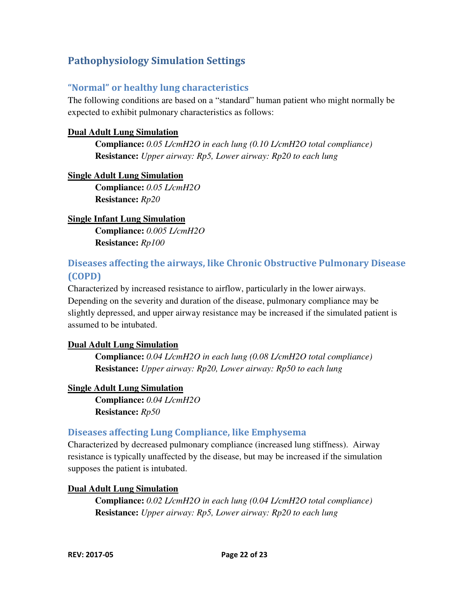### Pathophysiology Simulation Settings

#### "Normal" or healthy lung characteristics

The following conditions are based on a "standard" human patient who might normally be expected to exhibit pulmonary characteristics as follows:

#### **Dual Adult Lung Simulation**

 **Compliance:** *0.05 L/cmH2O in each lung (0.10 L/cmH2O total compliance)*  **Resistance:** *Upper airway: Rp5, Lower airway: Rp20 to each lung* 

#### **Single Adult Lung Simulation**

 **Compliance:** *0.05 L/cmH2O*  **Resistance:** *Rp20* 

#### **Single Infant Lung Simulation Compliance:** *0.005 L/cmH2O*

**Resistance:** *Rp100* 

#### Diseases affecting the airways, like Chronic Obstructive Pulmonary Disease (COPD)

Characterized by increased resistance to airflow, particularly in the lower airways. Depending on the severity and duration of the disease, pulmonary compliance may be slightly depressed, and upper airway resistance may be increased if the simulated patient is assumed to be intubated.

#### **Dual Adult Lung Simulation**

 **Compliance:** *0.04 L/cmH2O in each lung (0.08 L/cmH2O total compliance)*  **Resistance:** *Upper airway: Rp20, Lower airway: Rp50 to each lung*

#### **Single Adult Lung Simulation**

 **Compliance:** *0.04 L/cmH2O*  **Resistance:** *Rp50* 

#### Diseases affecting Lung Compliance, like Emphysema

Characterized by decreased pulmonary compliance (increased lung stiffness). Airway resistance is typically unaffected by the disease, but may be increased if the simulation supposes the patient is intubated.

#### **Dual Adult Lung Simulation**

 **Compliance:** *0.02 L/cmH2O in each lung (0.04 L/cmH2O total compliance)*  **Resistance:** *Upper airway: Rp5, Lower airway: Rp20 to each lung*